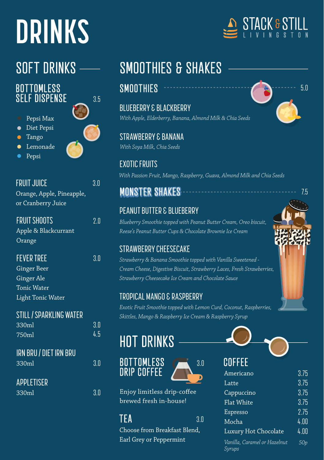# **DRINKS**

#### **BOTTOMLESS SELF DISPENSE**

- Pepsi Max
- Diet Pepsi
- Tango
- Lemonade
- Pepsi



3.5

| FRUIT JUICE               | 3.0 |
|---------------------------|-----|
| Orange, Apple, Pineapple, |     |
| or Cranberry Juice        |     |

| <b>FRUIT SHOOTS</b>  | 2.0 |
|----------------------|-----|
| Apple & Blackcurrant |     |
| Orange               |     |

FEVER TREE 3.0 Ginger Beer

Ginger Ale Tonic Water Light Tonic Water

### STILL / SPARKLING WATER

| 330ml | 3.0 |
|-------|-----|
| 750ml | 4.5 |

| IRN BRU / DIET IRN BRU' |  |
|-------------------------|--|
| 330ml                   |  |

| APPLETISER |
|------------|
|            |

## SOFT DRINKS - SMOOTHIES & SHAKES

### SMOOTHIES 5.0

BLUEBERRY & BLACKBERRY *With Apple, Elderberry, Banana, Almond Milk & Chia Seeds*

STRAWBERRY & BANANA *With Soya Milk, Chia Seeds*

EXOTIC FRUITS *With Passion Fruit, Mango, Raspberry, Guava, Almond Milk and Chia Seeds*

### **MONSTER SHAKES**

#### PEANUT BUTTER & BLUEBERRY

*Blueberry Smoothie topped with Peanut Butter Cream, Oreo biscuit, Reese's Peanut Butter Cups & Chocolate Brownie Ice Cream*

#### STRAWBERRY CHEESECAKE

*Strawberry & Banana Smoothie topped with Vanilla Sweetened - Cream Cheese, Digestive Biscuit, Strawberry Laces, Fresh Strawberries, Strawberry Cheesecake Ice Cream and Chocolate Sauce*

#### TROPICAL MANGO & RASPBERRY

*Exotic Fruit Smoothie topped with Lemon Curd, Coconut, Raspberries, Skittles, Mango & Raspberry Ice Cream & Raspberry Syrup*

3.0

## HOT DRINKS





#### $TFA$  3.0

Choose from Breakfast Blend, T Earl Grey or Peppermint



| GUNNEE               |      |
|----------------------|------|
| Americano            | 3.75 |
| Latte                | 3.75 |
| Cappuccino           | 3.75 |
| <b>Flat White</b>    | 3.75 |
| Espresso             | 2.75 |
| Mocha                | 4.00 |
| Luxury Hot Chocolate | 4.00 |
| TT . 11 C 1 TT 1 .   |      |







7.5